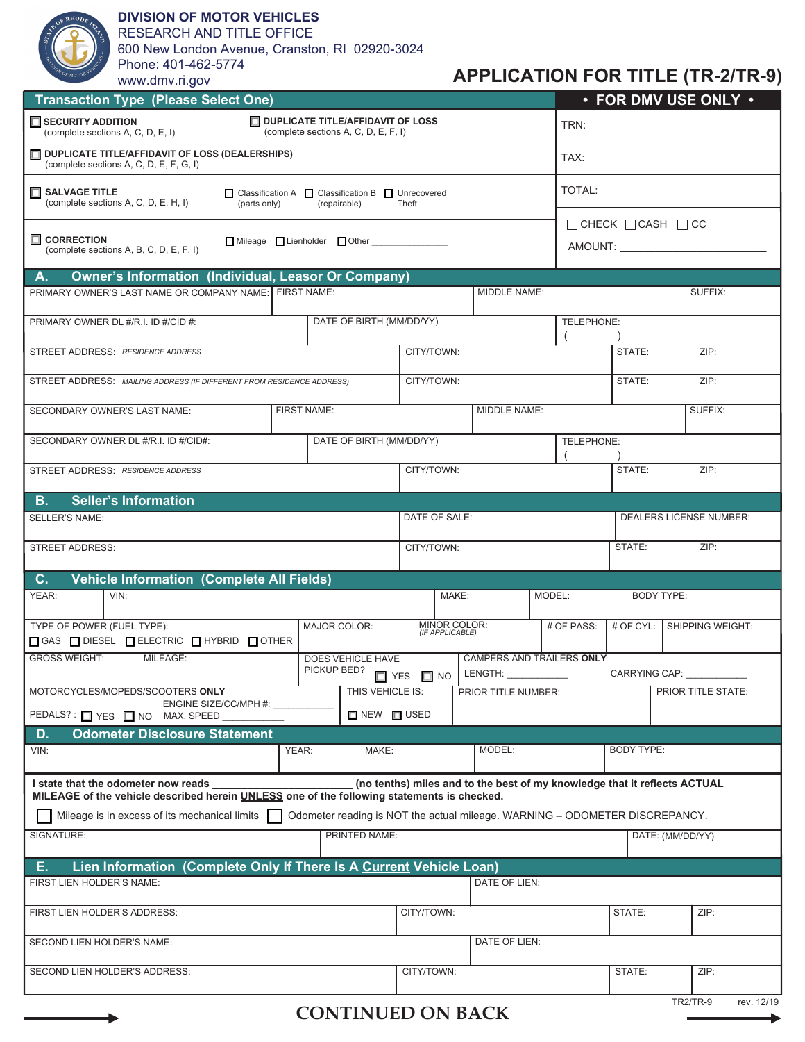

## **DIVISION OF MOTOR VEHICLES**

RESEARCH AND TITLE OFFICE

600 New London Avenue, Cranston, RI 02920-3024 Phone: 401-462-5774

**APPLICATION FOR TITLE (TR-2/TR-9)**

| Transaction Type (Please Select One)                                                                                                                                                                           |                                                                                  |                     |                                                                                                                        |                                 |              |                         |                                           | $\cdot$ FOR DMV USE ONLY $\cdot$   |                   |                            |  |
|----------------------------------------------------------------------------------------------------------------------------------------------------------------------------------------------------------------|----------------------------------------------------------------------------------|---------------------|------------------------------------------------------------------------------------------------------------------------|---------------------------------|--------------|-------------------------|-------------------------------------------|------------------------------------|-------------------|----------------------------|--|
| SECURITY ADDITION<br>(complete sections A, C, D, E, I)                                                                                                                                                         | <b>DUPLICATE TITLE/AFFIDAVIT OF LOSS</b><br>(complete sections A, C, D, E, F, I) |                     |                                                                                                                        |                                 |              | TRN:                    |                                           |                                    |                   |                            |  |
| $\Box$ DUPLICATE TITLE/AFFIDAVIT OF LOSS (DEALERSHIPS)<br>(complete sections A, C, D, E, F, G, I)                                                                                                              |                                                                                  |                     |                                                                                                                        |                                 |              |                         |                                           | TAX:                               |                   |                            |  |
| SALVAGE TITLE<br>□ Classification A □ Classification B □ Unrecovered<br>(complete sections A, C, D, E, H, I)<br>(parts only)<br>(repairable)<br>Theft                                                          |                                                                                  |                     |                                                                                                                        |                                 |              | TOTAL:                  |                                           |                                    |                   |                            |  |
|                                                                                                                                                                                                                |                                                                                  |                     |                                                                                                                        |                                 |              |                         |                                           | $\Box$ CHECK $\Box$ CASH $\Box$ CC |                   |                            |  |
| $\Box$ CORRECTION<br>Mileage Lienholder Other<br>(complete sections A, B, C, D, E, F, I)                                                                                                                       |                                                                                  |                     |                                                                                                                        |                                 |              |                         |                                           |                                    |                   |                            |  |
| <b>Owner's Information (Individual, Leasor Or Company)</b><br>A.                                                                                                                                               |                                                                                  |                     |                                                                                                                        |                                 |              |                         |                                           |                                    |                   |                            |  |
| PRIMARY OWNER'S LAST NAME OR COMPANY NAME: FIRST NAME:                                                                                                                                                         |                                                                                  |                     |                                                                                                                        |                                 |              | MIDDLE NAME:<br>SUFFIX: |                                           |                                    |                   |                            |  |
| DATE OF BIRTH (MM/DD/YY)<br>PRIMARY OWNER DL #/R.I. ID #/CID #:                                                                                                                                                |                                                                                  |                     |                                                                                                                        |                                 |              | TELEPHONE:              |                                           |                                    |                   |                            |  |
| STREET ADDRESS: RESIDENCE ADDRESS                                                                                                                                                                              |                                                                                  |                     |                                                                                                                        |                                 | CITY/TOWN:   |                         |                                           | STATE:                             |                   | ZIP:                       |  |
| STREET ADDRESS: MAILING ADDRESS (IF DIFFERENT FROM RESIDENCE ADDRESS)                                                                                                                                          |                                                                                  |                     |                                                                                                                        | CITY/TOWN:                      |              |                         |                                           | STATE:                             |                   | ZIP:                       |  |
| SECONDARY OWNER'S LAST NAME:                                                                                                                                                                                   |                                                                                  | FIRST NAME:         |                                                                                                                        |                                 | MIDDLE NAME: |                         |                                           |                                    |                   | SUFFIX:                    |  |
| SECONDARY OWNER DL #/R.I. ID #/CID#:                                                                                                                                                                           |                                                                                  |                     | DATE OF BIRTH (MM/DD/YY)                                                                                               |                                 |              | TELEPHONE:              |                                           |                                    |                   |                            |  |
| STREET ADDRESS: RESIDENCE ADDRESS                                                                                                                                                                              |                                                                                  |                     |                                                                                                                        | CITY/TOWN:                      |              |                         |                                           | STATE:<br>ZIP:                     |                   |                            |  |
| <b>Seller's Information</b><br>В.                                                                                                                                                                              |                                                                                  |                     |                                                                                                                        |                                 |              |                         |                                           |                                    |                   |                            |  |
| DATE OF SALE:<br>DEALERS LICENSE NUMBER:<br>SELLER'S NAME:                                                                                                                                                     |                                                                                  |                     |                                                                                                                        |                                 |              |                         |                                           |                                    |                   |                            |  |
| <b>STREET ADDRESS:</b>                                                                                                                                                                                         |                                                                                  |                     |                                                                                                                        | CITY/TOWN:                      |              |                         | STATE:                                    |                                    | ZIP:              |                            |  |
| <b>Vehicle Information (Complete All Fields)</b><br>C.                                                                                                                                                         |                                                                                  |                     |                                                                                                                        |                                 |              |                         |                                           |                                    |                   |                            |  |
| YEAR:<br>VIN:                                                                                                                                                                                                  |                                                                                  |                     |                                                                                                                        | MAKE:                           |              |                         | MODEL:                                    |                                    | <b>BODY TYPE:</b> |                            |  |
| TYPE OF POWER (FUEL TYPE):<br>□ GAS □ DIESEL □ ELECTRIC □ HYBRID □ OTHER                                                                                                                                       |                                                                                  | <b>MAJOR COLOR:</b> |                                                                                                                        | MINOR COLOR:<br>(IF APPLICABLE) |              |                         | # OF PASS:                                |                                    |                   | # OF CYL: SHIPPING WEIGHT: |  |
| <b>GROSS WEIGHT:</b><br>MILEAGE:                                                                                                                                                                               | <b>DOES VEHICLE HAVE</b><br>PICKUP BED?                                          |                     |                                                                                                                        | CAMPERS AND TRAILERS ONLY       |              |                         |                                           |                                    |                   |                            |  |
|                                                                                                                                                                                                                |                                                                                  |                     | $\begin{tabular}{c} \bf LENGTH: \underline{\hspace{1cm}} \end{tabular}$<br>$\Box$ YES $\Box$ NO<br>PRIOR TITLE NUMBER: |                                 |              |                         | CARRYING CAP: VALUE<br>PRIOR TITLE STATE: |                                    |                   |                            |  |
| MOTORCYCLES/MOPEDS/SCOOTERS ONLY<br>THIS VEHICLE IS:<br>ENGINE SIZE/CC/MPH #:<br>PEDALS?: YES NO MAX. SPEED<br><b>ENEW FUSED</b>                                                                               |                                                                                  |                     |                                                                                                                        |                                 |              |                         |                                           |                                    |                   |                            |  |
| <b>Odometer Disclosure Statement</b><br>D.                                                                                                                                                                     |                                                                                  |                     |                                                                                                                        |                                 |              |                         |                                           |                                    |                   |                            |  |
| VIN:                                                                                                                                                                                                           |                                                                                  | YEAR:               | MAKE:                                                                                                                  |                                 |              | MODEL:                  |                                           | <b>BODY TYPE:</b>                  |                   |                            |  |
| (no tenths) miles and to the best of my knowledge that it reflects ACTUAL<br>I state that the odometer now reads<br>MILEAGE of the vehicle described herein UNLESS one of the following statements is checked. |                                                                                  |                     |                                                                                                                        |                                 |              |                         |                                           |                                    |                   |                            |  |
| Mileage is in excess of its mechanical limits                                                                                                                                                                  |                                                                                  |                     |                                                                                                                        |                                 |              |                         |                                           |                                    |                   |                            |  |
| Odometer reading is NOT the actual mileage. WARNING - ODOMETER DISCREPANCY.<br>SIGNATURE:<br>PRINTED NAME:                                                                                                     |                                                                                  |                     |                                                                                                                        |                                 |              |                         |                                           | DATE: (MM/DD/YY)                   |                   |                            |  |
|                                                                                                                                                                                                                |                                                                                  |                     |                                                                                                                        |                                 |              |                         |                                           |                                    |                   |                            |  |
| Lien Information (Complete Only If There Is A Current Vehicle Loan)<br>Е.<br>DATE OF LIEN:<br>FIRST LIEN HOLDER'S NAME:                                                                                        |                                                                                  |                     |                                                                                                                        |                                 |              |                         |                                           |                                    |                   |                            |  |
| FIRST LIEN HOLDER'S ADDRESS:                                                                                                                                                                                   |                                                                                  |                     |                                                                                                                        | CITY/TOWN:                      |              |                         | STATE:                                    |                                    | ZIP:              |                            |  |
| DATE OF LIEN:<br>SECOND LIEN HOLDER'S NAME:                                                                                                                                                                    |                                                                                  |                     |                                                                                                                        |                                 |              |                         |                                           |                                    |                   |                            |  |
| SECOND LIEN HOLDER'S ADDRESS:<br>CITY/TOWN:                                                                                                                                                                    |                                                                                  |                     |                                                                                                                        |                                 |              |                         |                                           | STATE:                             |                   | ZIP:                       |  |
|                                                                                                                                                                                                                |                                                                                  |                     |                                                                                                                        |                                 |              |                         |                                           |                                    |                   |                            |  |
|                                                                                                                                                                                                                |                                                                                  |                     | <b>CONTINUED ON BACK</b>                                                                                               |                                 |              |                         |                                           |                                    | <b>TR2/TR-9</b>   | rev. 12/19                 |  |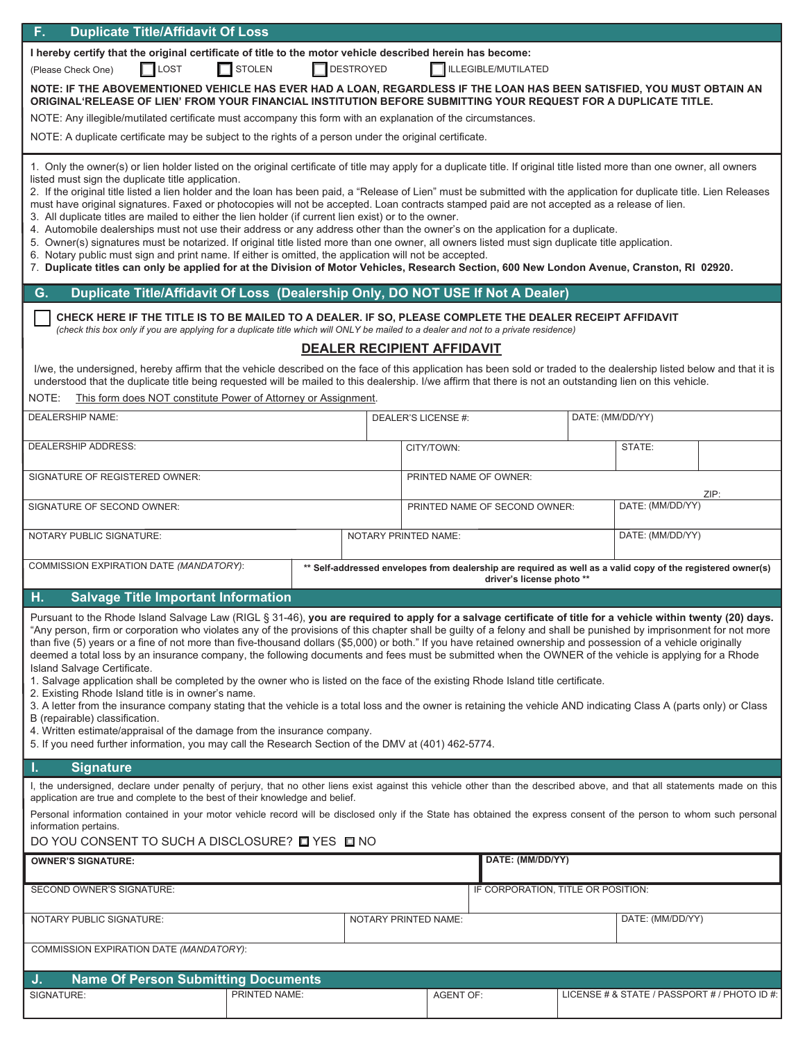| F.<br><b>Duplicate Title/Affidavit Of Loss</b>                                                                                                                                                                                                                                                                                                                                                                                                                                                                                                                                                                                                                                                                                                                                                                                                                                                                                                                                                                                                                                                                                                                                                                                                                                    |               |                               |                                   |                                                                                                                                          |                          |                                              |                  |  |  |
|-----------------------------------------------------------------------------------------------------------------------------------------------------------------------------------------------------------------------------------------------------------------------------------------------------------------------------------------------------------------------------------------------------------------------------------------------------------------------------------------------------------------------------------------------------------------------------------------------------------------------------------------------------------------------------------------------------------------------------------------------------------------------------------------------------------------------------------------------------------------------------------------------------------------------------------------------------------------------------------------------------------------------------------------------------------------------------------------------------------------------------------------------------------------------------------------------------------------------------------------------------------------------------------|---------------|-------------------------------|-----------------------------------|------------------------------------------------------------------------------------------------------------------------------------------|--------------------------|----------------------------------------------|------------------|--|--|
| I hereby certify that the original certificate of title to the motor vehicle described herein has become:                                                                                                                                                                                                                                                                                                                                                                                                                                                                                                                                                                                                                                                                                                                                                                                                                                                                                                                                                                                                                                                                                                                                                                         |               |                               |                                   |                                                                                                                                          |                          |                                              |                  |  |  |
| $\Box$ STOLEN<br>DESTROYED<br>LOST<br><b>ILLEGIBLE/MUTILATED</b><br>(Please Check One)                                                                                                                                                                                                                                                                                                                                                                                                                                                                                                                                                                                                                                                                                                                                                                                                                                                                                                                                                                                                                                                                                                                                                                                            |               |                               |                                   |                                                                                                                                          |                          |                                              |                  |  |  |
| NOTE: IF THE ABOVEMENTIONED VEHICLE HAS EVER HAD A LOAN, REGARDLESS IF THE LOAN HAS BEEN SATISFIED, YOU MUST OBTAIN AN<br>ORIGINAL RELEASE OF LIEN' FROM YOUR FINANCIAL INSTITUTION BEFORE SUBMITTING YOUR REQUEST FOR A DUPLICATE TITLE.                                                                                                                                                                                                                                                                                                                                                                                                                                                                                                                                                                                                                                                                                                                                                                                                                                                                                                                                                                                                                                         |               |                               |                                   |                                                                                                                                          |                          |                                              |                  |  |  |
| NOTE: Any illegible/mutilated certificate must accompany this form with an explanation of the circumstances.                                                                                                                                                                                                                                                                                                                                                                                                                                                                                                                                                                                                                                                                                                                                                                                                                                                                                                                                                                                                                                                                                                                                                                      |               |                               |                                   |                                                                                                                                          |                          |                                              |                  |  |  |
| NOTE: A duplicate certificate may be subject to the rights of a person under the original certificate.                                                                                                                                                                                                                                                                                                                                                                                                                                                                                                                                                                                                                                                                                                                                                                                                                                                                                                                                                                                                                                                                                                                                                                            |               |                               |                                   |                                                                                                                                          |                          |                                              |                  |  |  |
| 1. Only the owner(s) or lien holder listed on the original certificate of title may apply for a duplicate title. If original title listed more than one owner, all owners<br>listed must sign the duplicate title application.<br>2. If the original title listed a lien holder and the loan has been paid, a "Release of Lien" must be submitted with the application for duplicate title. Lien Releases<br>must have original signatures. Faxed or photocopies will not be accepted. Loan contracts stamped paid are not accepted as a release of lien.<br>3. All duplicate titles are mailed to either the lien holder (if current lien exist) or to the owner.<br>4. Automobile dealerships must not use their address or any address other than the owner's on the application for a duplicate.<br>5. Owner(s) signatures must be notarized. If original title listed more than one owner, all owners listed must sign duplicate title application.<br>6. Notary public must sign and print name. If either is omitted, the application will not be accepted.<br>7. Duplicate titles can only be applied for at the Division of Motor Vehicles, Research Section, 600 New London Avenue, Cranston, RI 02920.                                                                 |               |                               |                                   |                                                                                                                                          |                          |                                              |                  |  |  |
| Duplicate Title/Affidavit Of Loss (Dealership Only, DO NOT USE If Not A Dealer)<br>G.                                                                                                                                                                                                                                                                                                                                                                                                                                                                                                                                                                                                                                                                                                                                                                                                                                                                                                                                                                                                                                                                                                                                                                                             |               |                               |                                   |                                                                                                                                          |                          |                                              |                  |  |  |
| CHECK HERE IF THE TITLE IS TO BE MAILED TO A DEALER. IF SO, PLEASE COMPLETE THE DEALER RECEIPT AFFIDAVIT<br>(check this box only if you are applying for a duplicate title which will ONLY be mailed to a dealer and not to a private residence)                                                                                                                                                                                                                                                                                                                                                                                                                                                                                                                                                                                                                                                                                                                                                                                                                                                                                                                                                                                                                                  |               |                               |                                   |                                                                                                                                          |                          |                                              |                  |  |  |
|                                                                                                                                                                                                                                                                                                                                                                                                                                                                                                                                                                                                                                                                                                                                                                                                                                                                                                                                                                                                                                                                                                                                                                                                                                                                                   |               |                               | <b>DEALER RECIPIENT AFFIDAVIT</b> |                                                                                                                                          |                          |                                              |                  |  |  |
| I/we, the undersigned, hereby affirm that the vehicle described on the face of this application has been sold or traded to the dealership listed below and that it is<br>understood that the duplicate title being requested will be mailed to this dealership. I/we affirm that there is not an outstanding lien on this vehicle.                                                                                                                                                                                                                                                                                                                                                                                                                                                                                                                                                                                                                                                                                                                                                                                                                                                                                                                                                |               |                               |                                   |                                                                                                                                          |                          |                                              |                  |  |  |
| This form does NOT constitute Power of Attorney or Assignment.<br>NOTE:                                                                                                                                                                                                                                                                                                                                                                                                                                                                                                                                                                                                                                                                                                                                                                                                                                                                                                                                                                                                                                                                                                                                                                                                           |               |                               |                                   |                                                                                                                                          |                          |                                              |                  |  |  |
| <b>DEALERSHIP NAME:</b>                                                                                                                                                                                                                                                                                                                                                                                                                                                                                                                                                                                                                                                                                                                                                                                                                                                                                                                                                                                                                                                                                                                                                                                                                                                           |               |                               | DEALER'S LICENSE #:               |                                                                                                                                          | DATE: (MM/DD/YY)         |                                              |                  |  |  |
| <b>DEALERSHIP ADDRESS:</b>                                                                                                                                                                                                                                                                                                                                                                                                                                                                                                                                                                                                                                                                                                                                                                                                                                                                                                                                                                                                                                                                                                                                                                                                                                                        |               |                               | CITY/TOWN:                        |                                                                                                                                          |                          | STATE:                                       |                  |  |  |
| SIGNATURE OF REGISTERED OWNER:                                                                                                                                                                                                                                                                                                                                                                                                                                                                                                                                                                                                                                                                                                                                                                                                                                                                                                                                                                                                                                                                                                                                                                                                                                                    |               |                               |                                   | PRINTED NAME OF OWNER:                                                                                                                   |                          |                                              |                  |  |  |
| SIGNATURE OF SECOND OWNER:                                                                                                                                                                                                                                                                                                                                                                                                                                                                                                                                                                                                                                                                                                                                                                                                                                                                                                                                                                                                                                                                                                                                                                                                                                                        |               | PRINTED NAME OF SECOND OWNER: |                                   |                                                                                                                                          | ZIP:<br>DATE: (MM/DD/YY) |                                              |                  |  |  |
| NOTARY PUBLIC SIGNATURE:                                                                                                                                                                                                                                                                                                                                                                                                                                                                                                                                                                                                                                                                                                                                                                                                                                                                                                                                                                                                                                                                                                                                                                                                                                                          |               |                               |                                   | NOTARY PRINTED NAME:                                                                                                                     |                          |                                              | DATE: (MM/DD/YY) |  |  |
| COMMISSION EXPIRATION DATE (MANDATORY):                                                                                                                                                                                                                                                                                                                                                                                                                                                                                                                                                                                                                                                                                                                                                                                                                                                                                                                                                                                                                                                                                                                                                                                                                                           |               |                               |                                   | ** Self-addressed envelopes from dealership are required as well as a valid copy of the registered owner(s)<br>driver's license photo ** |                          |                                              |                  |  |  |
| <b>Salvage Title Important Information</b><br>н.                                                                                                                                                                                                                                                                                                                                                                                                                                                                                                                                                                                                                                                                                                                                                                                                                                                                                                                                                                                                                                                                                                                                                                                                                                  |               |                               |                                   |                                                                                                                                          |                          |                                              |                  |  |  |
| Pursuant to the Rhode Island Salvage Law (RIGL § 31-46), you are required to apply for a salvage certificate of title for a vehicle within twenty (20) days.<br>"Any person, firm or corporation who violates any of the provisions of this chapter shall be guilty of a felony and shall be punished by imprisonment for not more<br>than five (5) years or a fine of not more than five-thousand dollars (\$5,000) or both." If you have retained ownership and possession of a vehicle originally<br>deemed a total loss by an insurance company, the following documents and fees must be submitted when the OWNER of the vehicle is applying for a Rhode<br>Island Salvage Certificate.<br>1. Salvage application shall be completed by the owner who is listed on the face of the existing Rhode Island title certificate.<br>2. Existing Rhode Island title is in owner's name.<br>3. A letter from the insurance company stating that the vehicle is a total loss and the owner is retaining the vehicle AND indicating Class A (parts only) or Class<br>B (repairable) classification.<br>4. Written estimate/appraisal of the damage from the insurance company.<br>5. If you need further information, you may call the Research Section of the DMV at (401) 462-5774. |               |                               |                                   |                                                                                                                                          |                          |                                              |                  |  |  |
| <b>Signature</b><br>L.                                                                                                                                                                                                                                                                                                                                                                                                                                                                                                                                                                                                                                                                                                                                                                                                                                                                                                                                                                                                                                                                                                                                                                                                                                                            |               |                               |                                   |                                                                                                                                          |                          |                                              |                  |  |  |
| I, the undersigned, declare under penalty of perjury, that no other liens exist against this vehicle other than the described above, and that all statements made on this                                                                                                                                                                                                                                                                                                                                                                                                                                                                                                                                                                                                                                                                                                                                                                                                                                                                                                                                                                                                                                                                                                         |               |                               |                                   |                                                                                                                                          |                          |                                              |                  |  |  |
| application are true and complete to the best of their knowledge and belief.<br>Personal information contained in your motor vehicle record will be disclosed only if the State has obtained the express consent of the person to whom such personal<br>information pertains.                                                                                                                                                                                                                                                                                                                                                                                                                                                                                                                                                                                                                                                                                                                                                                                                                                                                                                                                                                                                     |               |                               |                                   |                                                                                                                                          |                          |                                              |                  |  |  |
| DO YOU CONSENT TO SUCH A DISCLOSURE? □ YES □ NO                                                                                                                                                                                                                                                                                                                                                                                                                                                                                                                                                                                                                                                                                                                                                                                                                                                                                                                                                                                                                                                                                                                                                                                                                                   |               |                               |                                   |                                                                                                                                          |                          |                                              |                  |  |  |
| <b>OWNER'S SIGNATURE:</b>                                                                                                                                                                                                                                                                                                                                                                                                                                                                                                                                                                                                                                                                                                                                                                                                                                                                                                                                                                                                                                                                                                                                                                                                                                                         |               |                               |                                   | DATE: (MM/DD/YY)                                                                                                                         |                          |                                              |                  |  |  |
| SECOND OWNER'S SIGNATURE:                                                                                                                                                                                                                                                                                                                                                                                                                                                                                                                                                                                                                                                                                                                                                                                                                                                                                                                                                                                                                                                                                                                                                                                                                                                         |               |                               |                                   | IF CORPORATION, TITLE OR POSITION:                                                                                                       |                          |                                              |                  |  |  |
| NOTARY PUBLIC SIGNATURE:                                                                                                                                                                                                                                                                                                                                                                                                                                                                                                                                                                                                                                                                                                                                                                                                                                                                                                                                                                                                                                                                                                                                                                                                                                                          |               | NOTARY PRINTED NAME:          |                                   |                                                                                                                                          | DATE: (MM/DD/YY)         |                                              |                  |  |  |
| COMMISSION EXPIRATION DATE (MANDATORY):                                                                                                                                                                                                                                                                                                                                                                                                                                                                                                                                                                                                                                                                                                                                                                                                                                                                                                                                                                                                                                                                                                                                                                                                                                           |               |                               |                                   |                                                                                                                                          |                          |                                              |                  |  |  |
| <b>Name Of Person Submitting Documents</b><br>J.                                                                                                                                                                                                                                                                                                                                                                                                                                                                                                                                                                                                                                                                                                                                                                                                                                                                                                                                                                                                                                                                                                                                                                                                                                  |               |                               |                                   |                                                                                                                                          |                          |                                              |                  |  |  |
| SIGNATURE:                                                                                                                                                                                                                                                                                                                                                                                                                                                                                                                                                                                                                                                                                                                                                                                                                                                                                                                                                                                                                                                                                                                                                                                                                                                                        | PRINTED NAME: |                               | <b>AGENT OF:</b>                  |                                                                                                                                          |                          | LICENSE # & STATE / PASSPORT # / PHOTO ID #: |                  |  |  |